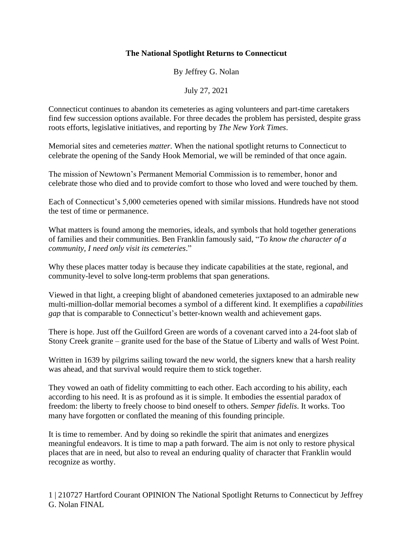## **The National Spotlight Returns to Connecticut**

By Jeffrey G. Nolan

July 27, 2021

Connecticut continues to abandon its cemeteries as aging volunteers and part-time caretakers find few succession options available. For three decades the problem has persisted, despite grass roots efforts, legislative initiatives, and reporting by *The New York Times*.

Memorial sites and cemeteries *matter.* When the national spotlight returns to Connecticut to celebrate the opening of the Sandy Hook Memorial, we will be reminded of that once again.

The mission of Newtown's Permanent Memorial Commission is to remember, honor and celebrate those who died and to provide comfort to those who loved and were touched by them.

Each of Connecticut's 5,000 cemeteries opened with similar missions. Hundreds have not stood the test of time or permanence.

What matters is found among the memories, ideals, and symbols that hold together generations of families and their communities. Ben Franklin famously said, "*To know the character of a community, I need only visit its cemeteries*."

Why these places matter today is because they indicate capabilities at the state, regional, and community-level to solve long-term problems that span generations.

Viewed in that light, a creeping blight of abandoned cemeteries juxtaposed to an admirable new multi-million-dollar memorial becomes a symbol of a different kind. It exemplifies a *capabilities gap* that is comparable to Connecticut's better-known wealth and achievement gaps.

There is hope. Just off the Guilford Green are words of a covenant carved into a 24-foot slab of Stony Creek granite – granite used for the base of the Statue of Liberty and walls of West Point.

Written in 1639 by pilgrims sailing toward the new world, the signers knew that a harsh reality was ahead, and that survival would require them to stick together.

They vowed an oath of fidelity committing to each other. Each according to his ability, each according to his need. It is as profound as it is simple. It embodies the essential paradox of freedom: the liberty to freely choose to bind oneself to others. *Semper fidelis*. It works. Too many have forgotten or conflated the meaning of this founding principle.

It is time to remember. And by doing so rekindle the spirit that animates and energizes meaningful endeavors. It is time to map a path forward. The aim is not only to restore physical places that are in need, but also to reveal an enduring quality of character that Franklin would recognize as worthy.

1 | 210727 Hartford Courant OPINION The National Spotlight Returns to Connecticut by Jeffrey G. Nolan FINAL